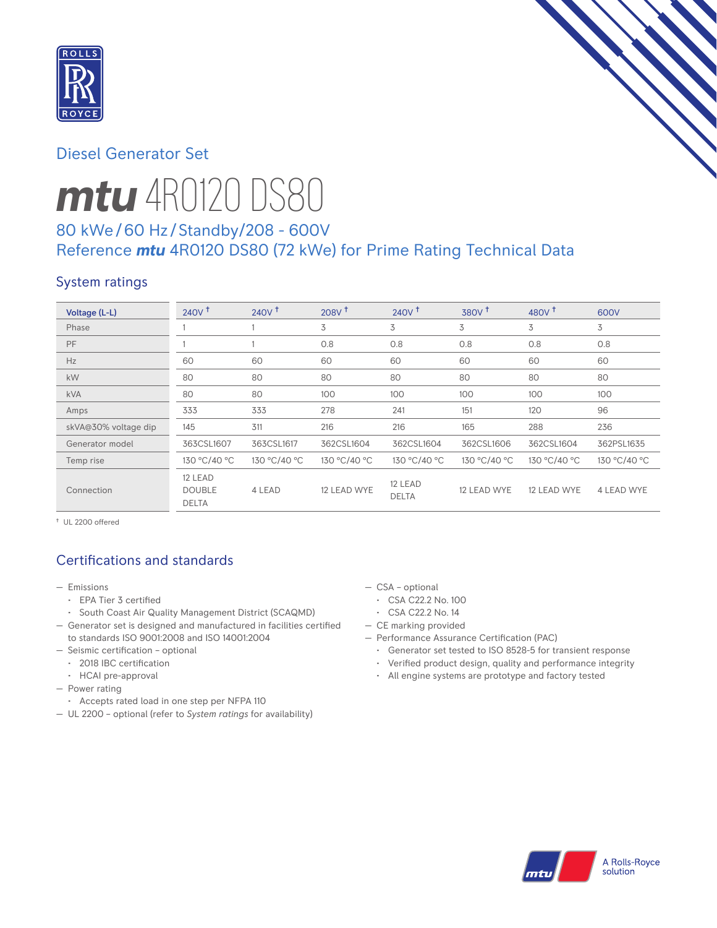

# Diesel Generator Set

# *mtu* 4R0120 DS80

# 80 kWe/60 Hz /Standby/208 - 600V Reference *mtu* 4R0120 DS80 (72 kWe) for Prime Rating Technical Data

# System ratings

| Voltage (L-L)        | 240V <sup>†</sup>                        | 240V <sup>†</sup> | 208V <sup>†</sup> | 240V <sup>†</sup>       | 380V <sup>†</sup> | 480 $V†$     | 600V         |
|----------------------|------------------------------------------|-------------------|-------------------|-------------------------|-------------------|--------------|--------------|
| Phase                |                                          |                   | 3                 | 3                       | 3                 | 3            | 3            |
| PF                   |                                          |                   | 0.8               | 0.8                     | 0.8               | 0.8          | 0.8          |
| Hz                   | 60                                       | 60                | 60                | 60                      | 60                | 60           | 60           |
| kW                   | 80                                       | 80                | 80                | 80                      | 80                | 80           | 80           |
| <b>kVA</b>           | 80                                       | 80                | 100               | 100                     | 100               | 100          | 100          |
| Amps                 | 333                                      | 333               | 278               | 241                     | 151               | 120          | 96           |
| skVA@30% voltage dip | 145                                      | 311               | 216               | 216                     | 165               | 288          | 236          |
| Generator model      | 363CSL1607                               | 363CSL1617        | 362CSL1604        | 362CSL1604              | 362CSL1606        | 362CSL1604   | 362PSL1635   |
| Temp rise            | 130 °C/40 °C                             | 130 °C/40 °C      | 130 °C/40 °C      | 130 °C/40 °C            | 130 °C/40 °C      | 130 °C/40 °C | 130 °C/40 °C |
| Connection           | 12 LEAD<br><b>DOUBLE</b><br><b>DELTA</b> | 4 LEAD            | 12 LEAD WYE       | 12 LEAD<br><b>DELTA</b> | 12 LEAD WYE       | 12 LEAD WYE  | 4 LEAD WYE   |

† UL 2200 offered

# Certifications and standards

- Emissions
	- EPA Tier 3 certified
	- South Coast Air Quality Management District (SCAQMD)
- Generator set is designed and manufactured in facilities certified to standards ISO 9001:2008 and ISO 14001:2004
- Seismic certification optional
	- 2018 IBC certification
	- HCAI pre-approval
- Power rating
- Accepts rated load in one step per NFPA 110
- UL 2200 optional (refer to *System ratings* for availability)
- CSA optional
	- CSA C22.2 No. 100
	- CSA C22.2 No. 14
- CE marking provided
- Performance Assurance Certification (PAC)
	- Generator set tested to ISO 8528-5 for transient response
	- Verified product design, quality and performance integrity
	- All engine systems are prototype and factory tested

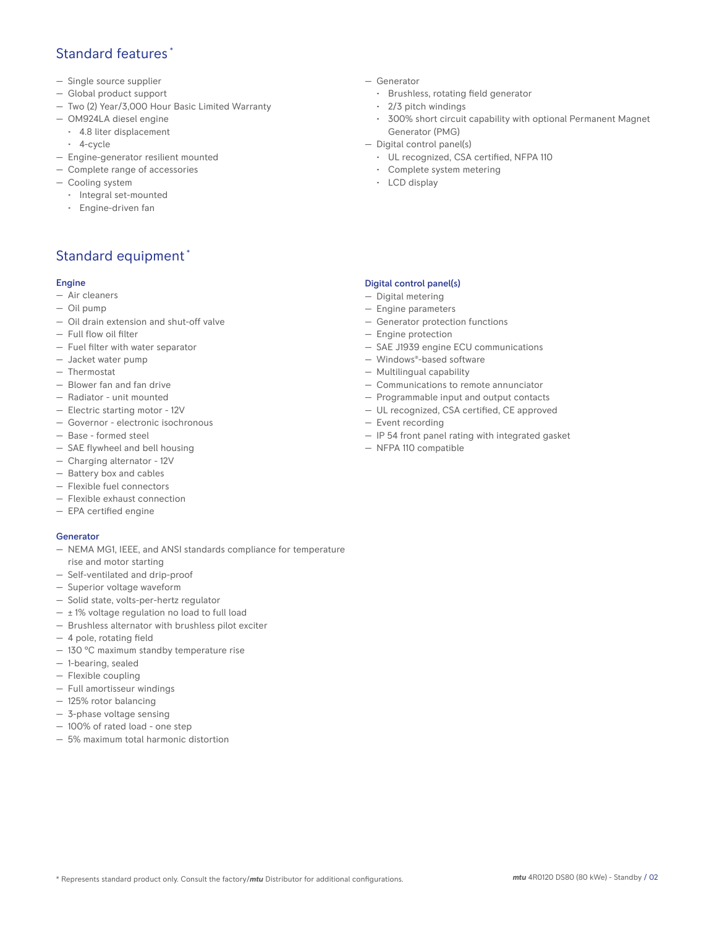## Standard features \*

- Single source supplier
- Global product support
- Two (2) Year/3,000 Hour Basic Limited Warranty
- OM924LA diesel engine
- 4.8 liter displacement
- 4-cycle
- Engine-generator resilient mounted
- Complete range of accessories
- Cooling system
	- Integral set-mounted
	- Engine-driven fan

# Standard equipment \*

#### Engine

- Air cleaners
- Oil pump
- Oil drain extension and shut-off valve
- Full flow oil filter
- Fuel filter with water separator
- Jacket water pump
- Thermostat
- Blower fan and fan drive
- Radiator unit mounted
- Electric starting motor 12V
- Governor electronic isochronous
- Base formed steel
- SAE flywheel and bell housing
- Charging alternator 12V
- Battery box and cables
- Flexible fuel connectors
- Flexible exhaust connection
- EPA certified engine

#### **Generator**

- NEMA MG1, IEEE, and ANSI standards compliance for temperature rise and motor starting
- Self-ventilated and drip-proof
- Superior voltage waveform
- Solid state, volts-per-hertz regulator
- $\pm$  1% voltage regulation no load to full load
- Brushless alternator with brushless pilot exciter
- 4 pole, rotating field
- 130 °C maximum standby temperature rise
- 1-bearing, sealed
- Flexible coupling
- Full amortisseur windings
- 125% rotor balancing
- 3-phase voltage sensing
- 100% of rated load one step
- 5% maximum total harmonic distortion
- Generator
	- Brushless, rotating field generator
	- 2/3 pitch windings
	- 300% short circuit capability with optional Permanent Magnet Generator (PMG)
- Digital control panel(s)
	- UL recognized, CSA certified, NFPA 110
	- Complete system metering
	- LCD display

### Digital control panel(s)

- Digital metering
- Engine parameters
- Generator protection functions
- Engine protection
- SAE J1939 engine ECU communications
- Windows®-based software
- Multilingual capability
- Communications to remote annunciator
- Programmable input and output contacts
- UL recognized, CSA certified, CE approved
- Event recording
- IP 54 front panel rating with integrated gasket
- NFPA 110 compatible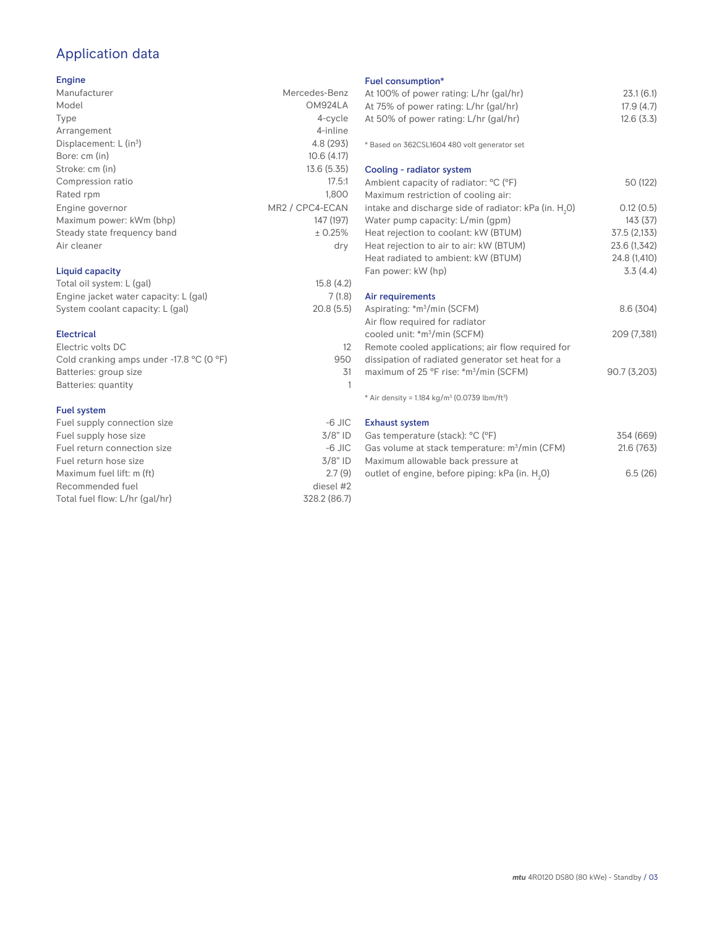# Application data

## Engine

| Manufacturer                         | Mercedes-Benz   |
|--------------------------------------|-----------------|
| Model                                | OM924LA         |
| Type                                 | 4-cycle         |
| Arrangement                          | 4-inline        |
| Displacement: $L$ (in <sup>3</sup> ) | 4.8 (293)       |
| Bore: cm (in)                        | 10.6(4.17)      |
| Stroke: cm (in)                      | 13.6(5.35)      |
| Compression ratio                    | 17.5:1          |
| Rated rpm                            | 1,800           |
| Engine governor                      | MR2 / CPC4-ECAN |
| Maximum power: kWm (bhp)             | 147 (197)       |
| Steady state frequency band          | ± 0.25%         |
| Air cleaner                          | dry             |
| Liquid capacity                      |                 |

| Total oil system: L (gal)             | 15.8(4.2) |
|---------------------------------------|-----------|
| Engine jacket water capacity: L (gal) | 7(1.8)    |
| System coolant capacity: L (gal)      | 20.8(5.5) |
|                                       |           |

#### Electrical

| Electric volts DC                                            |     |
|--------------------------------------------------------------|-----|
| Cold cranking amps under -17.8 $^{\circ}$ C (O $^{\circ}$ F) | 950 |
| Batteries: group size                                        | .31 |
| Batteries: quantity                                          |     |
|                                                              |     |

## Fuel system

| $-6$ JIC     |
|--------------|
| $3/8"$ ID    |
| $-6$ JIC     |
| $3/8"$ ID    |
| 2.7(9)       |
| diesel #2    |
| 328.2 (86.7) |
|              |

## Fuel consumption\*

| Fuel consumption"                                                    |              |
|----------------------------------------------------------------------|--------------|
| At 100% of power rating: L/hr (gal/hr)                               | 23.1(6.1)    |
| At 75% of power rating: L/hr (gal/hr)                                | 17.9(4.7)    |
| At 50% of power rating: L/hr (gal/hr)                                | 12.6(3.3)    |
|                                                                      |              |
| * Based on 362CSL1604 480 volt generator set                         |              |
| Cooling - radiator system                                            |              |
| Ambient capacity of radiator: °C (°F)                                | 50 (122)     |
| Maximum restriction of cooling air:                                  |              |
| intake and discharge side of radiator: kPa (in. $H_2O$ )             | 0.12(0.5)    |
| Water pump capacity: L/min (gpm)                                     | 143(37)      |
| Heat rejection to coolant: kW (BTUM)                                 | 37.5 (2,133) |
| Heat rejection to air to air: kW (BTUM)                              | 23.6 (1,342) |
| Heat radiated to ambient: kW (BTUM)                                  | 24.8 (1,410) |
| Fan power: kW (hp)                                                   | 3.3(4.4)     |
| Air requirements                                                     |              |
| Aspirating: *m <sup>3</sup> /min (SCFM)                              | 8.6(304)     |
| Air flow required for radiator                                       |              |
| cooled unit: *m <sup>3</sup> /min (SCFM)                             | 209 (7,381)  |
| Remote cooled applications; air flow required for                    |              |
| dissipation of radiated generator set heat for a                     |              |
| maximum of 25 °F rise: *m <sup>3</sup> /min (SCFM)                   | 90.7(3,203)  |
|                                                                      |              |
| * Air density = $1.184 \text{ kg/m}^3$ (0.0739 lbm/ft <sup>3</sup> ) |              |
| <b>Exhaust system</b>                                                |              |
| Gas temperature (stack): °C (°F)                                     | 354 (669)    |

| Gas temperature (stack): °C (°F)                            | 354 (669)  |
|-------------------------------------------------------------|------------|
| Gas volume at stack temperature: m <sup>3</sup> /min (CFM)  | 21.6 (763) |
| Maximum allowable back pressure at                          |            |
| outlet of engine, before piping: kPa (in. H <sub>2</sub> O) | 6.5(26)    |
|                                                             |            |